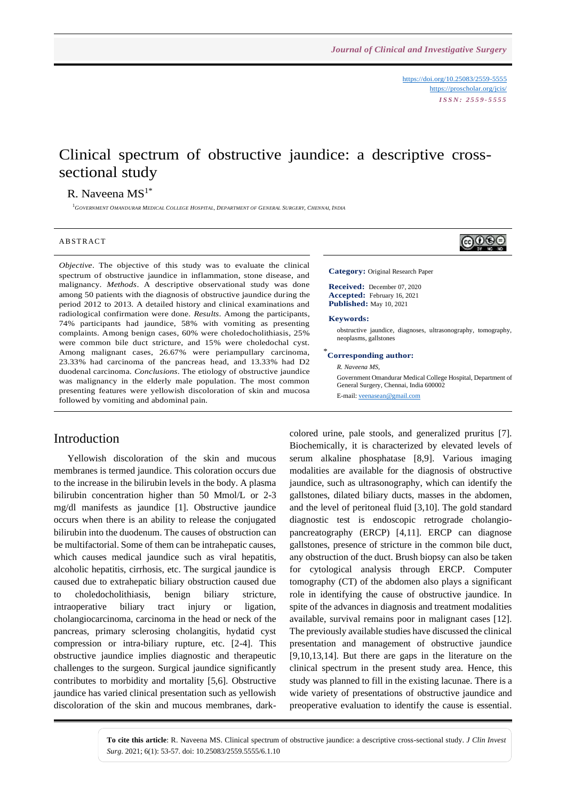<https://doi.org/10.25083/2559-5555> <https://proscholar.org/jcis/> *I S S N : 2 5 5 9 - 5 5 5 5*

⊚⊕⊕⊜

# Clinical spectrum of obstructive jaundice: a descriptive crosssectional study

## R. Naveena  $MS<sup>1*</sup>$

<sup>1</sup>GOVERNMENT OMANDURAR MEDICAL COLLEGE HOSPITAL, DEPARTMENT OF GENERAL SURGERY, CHENNAI, INDIA

#### **ABSTRACT**

*Objective*. The objective of this study was to evaluate the clinical spectrum of obstructive jaundice in inflammation, stone disease, and malignancy. *Methods*. A descriptive observational study was done among 50 patients with the diagnosis of obstructive jaundice during the period 2012 to 2013. A detailed history and clinical examinations and radiological confirmation were done. *Results*. Among the participants, 74% participants had jaundice, 58% with vomiting as presenting complaints. Among benign cases, 60% were choledocholithiasis, 25% were common bile duct stricture, and 15% were choledochal cyst. Among malignant cases, 26.67% were periampullary carcinoma, 23.33% had carcinoma of the pancreas head, and 13.33% had D2 duodenal carcinoma. *Conclusions*. The etiology of obstructive jaundice was malignancy in the elderly male population. The most common presenting features were yellowish discoloration of skin and mucosa followed by vomiting and abdominal pain.

### Introduction

Yellowish discoloration of the skin and mucous membranes is termed jaundice. This coloration occurs due to the increase in the bilirubin levels in the body. A plasma bilirubin concentration higher than 50 Mmol/L or 2-3 mg/dl manifests as jaundice [1]. Obstructive jaundice occurs when there is an ability to release the conjugated bilirubin into the duodenum. The causes of obstruction can be multifactorial. Some of them can be intrahepatic causes, which causes medical jaundice such as viral hepatitis, alcoholic hepatitis, cirrhosis, etc. The surgical jaundice is caused due to extrahepatic biliary obstruction caused due to choledocholithiasis, benign biliary stricture, intraoperative biliary tract injury or ligation, cholangiocarcinoma, carcinoma in the head or neck of the pancreas, primary sclerosing cholangitis, hydatid cyst compression or intra-biliary rupture, etc. [2-4]. This obstructive jaundice implies diagnostic and therapeutic challenges to the surgeon. Surgical jaundice significantly contributes to morbidity and mortality [5,6]. Obstructive jaundice has varied clinical presentation such as yellowish discoloration of the skin and mucous membranes, dark-

### **Category:** Original Research Paper

**Received:** December 07, 2020 **Accepted:** February 16, 2021 **Published:** May 10, 2021

#### **Keywords:**

obstructive jaundice, diagnoses, ultrasonography, tomography, neoplasms, gallstones

## \* **Corresponding author:**

*R. Naveena MS,*

Government Omandurar Medical College Hospital, Department of General Surgery, Chennai, India 600002 E-mail[: veenasean@gmail.com](mailto:veenasean@gmail.com)

colored urine, pale stools, and generalized pruritus [7]. Biochemically, it is characterized by elevated levels of serum alkaline phosphatase [8,9]. Various imaging modalities are available for the diagnosis of obstructive jaundice, such as ultrasonography, which can identify the gallstones, dilated biliary ducts, masses in the abdomen, and the level of peritoneal fluid [3,10]. The gold standard diagnostic test is endoscopic retrograde cholangiopancreatography (ERCP) [4,11]. ERCP can diagnose gallstones, presence of stricture in the common bile duct, any obstruction of the duct. Brush biopsy can also be taken for cytological analysis through ERCP. Computer tomography (CT) of the abdomen also plays a significant role in identifying the cause of obstructive jaundice. In spite of the advances in diagnosis and treatment modalities available, survival remains poor in malignant cases [12]. The previously available studies have discussed the clinical presentation and management of obstructive jaundice [9,10,13,14]. But there are gaps in the literature on the clinical spectrum in the present study area. Hence, this study was planned to fill in the existing lacunae. There is a wide variety of presentations of obstructive jaundice and preoperative evaluation to identify the cause is essential.

**To cite this article**: R. Naveena MS. Clinical spectrum of obstructive jaundice: a descriptive cross-sectional study. *J Clin Invest Surg*. 2021; 6(1): 53-57. doi: 10.25083/2559.5555/6.1.10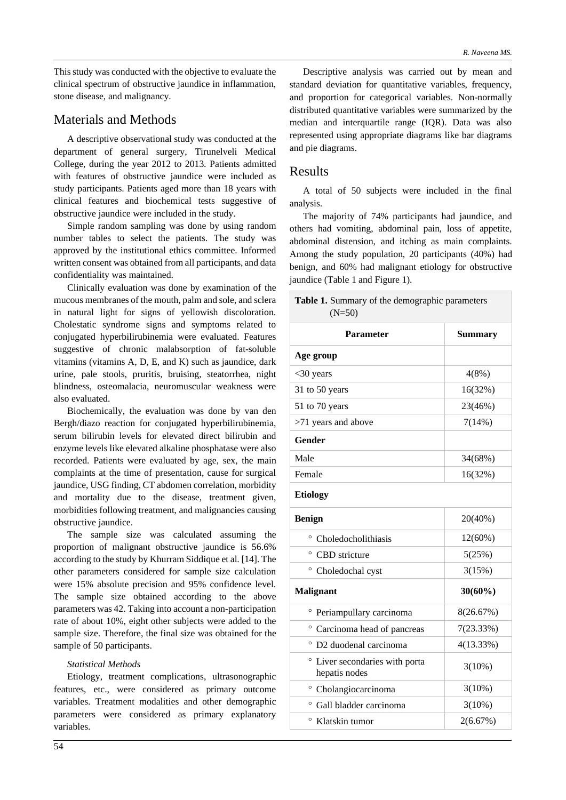This study was conducted with the objective to evaluate the clinical spectrum of obstructive jaundice in inflammation, stone disease, and malignancy.

## Materials and Methods

A descriptive observational study was conducted at the department of general surgery, Tirunelveli Medical College, during the year 2012 to 2013. Patients admitted with features of obstructive jaundice were included as study participants. Patients aged more than 18 years with clinical features and biochemical tests suggestive of obstructive jaundice were included in the study.

Simple random sampling was done by using random number tables to select the patients. The study was approved by the institutional ethics committee. Informed written consent was obtained from all participants, and data confidentiality was maintained.

Clinically evaluation was done by examination of the mucous membranes of the mouth, palm and sole, and sclera in natural light for signs of yellowish discoloration. Cholestatic syndrome signs and symptoms related to conjugated hyperbilirubinemia were evaluated. Features suggestive of chronic malabsorption of fat-soluble vitamins (vitamins A, D, E, and K) such as jaundice, dark urine, pale stools, pruritis, bruising, steatorrhea, night blindness, osteomalacia, neuromuscular weakness were also evaluated.

Biochemically, the evaluation was done by van den Bergh/diazo reaction for conjugated hyperbilirubinemia, serum bilirubin levels for elevated direct bilirubin and enzyme levels like elevated alkaline phosphatase were also recorded. Patients were evaluated by age, sex, the main complaints at the time of presentation, cause for surgical jaundice, USG finding, CT abdomen correlation, morbidity and mortality due to the disease, treatment given, morbidities following treatment, and malignancies causing obstructive jaundice.

The sample size was calculated assuming the proportion of malignant obstructive jaundice is 56.6% according to the study by Khurram Siddique et al. [14]. The other parameters considered for sample size calculation were 15% absolute precision and 95% confidence level. The sample size obtained according to the above parameters was 42. Taking into account a non-participation rate of about 10%, eight other subjects were added to the sample size. Therefore, the final size was obtained for the sample of 50 participants.

### *Statistical Methods*

Etiology, treatment complications, ultrasonographic features, etc., were considered as primary outcome variables. Treatment modalities and other demographic parameters were considered as primary explanatory variables.

Descriptive analysis was carried out by mean and standard deviation for quantitative variables, frequency, and proportion for categorical variables. Non-normally distributed quantitative variables were summarized by the median and interquartile range (IQR). Data was also represented using appropriate diagrams like bar diagrams and pie diagrams.

### Results

A total of 50 subjects were included in the final analysis.

The majority of 74% participants had jaundice, and others had vomiting, abdominal pain, loss of appetite, abdominal distension, and itching as main complaints. Among the study population, 20 participants (40%) had benign, and 60% had malignant etiology for obstructive jaundice (Table 1 and Figure 1).

| Table 1. Summary of the demographic parameters<br>$(N=50)$ |                |  |  |  |
|------------------------------------------------------------|----------------|--|--|--|
| <b>Parameter</b>                                           | <b>Summary</b> |  |  |  |
| Age group                                                  |                |  |  |  |
| $<$ 30 years                                               | 4(8%)          |  |  |  |
| 31 to 50 years                                             | 16(32%)        |  |  |  |
| 51 to 70 years                                             | 23(46%)        |  |  |  |
| >71 years and above                                        | 7(14%)         |  |  |  |
| <b>Gender</b>                                              |                |  |  |  |
| Male                                                       | 34(68%)        |  |  |  |
| Female                                                     | 16(32%)        |  |  |  |
| <b>Etiology</b>                                            |                |  |  |  |
| <b>Benign</b>                                              | 20(40%)        |  |  |  |
| ° Choledocholithiasis                                      | 12(60%)        |  |  |  |
| $\circ$<br>CBD stricture                                   | 5(25%)         |  |  |  |
| ° Choledochal cyst                                         | 3(15%)         |  |  |  |
| <b>Malignant</b>                                           | $30(60\%)$     |  |  |  |
| <sup>o</sup> Periampullary carcinoma                       | 8(26.67%)      |  |  |  |
| ° Carcinoma head of pancreas                               | 7(23.33%)      |  |  |  |
| $\circ$<br>D2 duodenal carcinoma                           | 4(13.33%)      |  |  |  |
| $\circ$<br>Liver secondaries with porta<br>hepatis nodes   | $3(10\%)$      |  |  |  |
| <sup>o</sup> Cholangiocarcinoma                            | $3(10\%)$      |  |  |  |
|                                                            |                |  |  |  |
| O<br>Gall bladder carcinoma                                | $3(10\%)$      |  |  |  |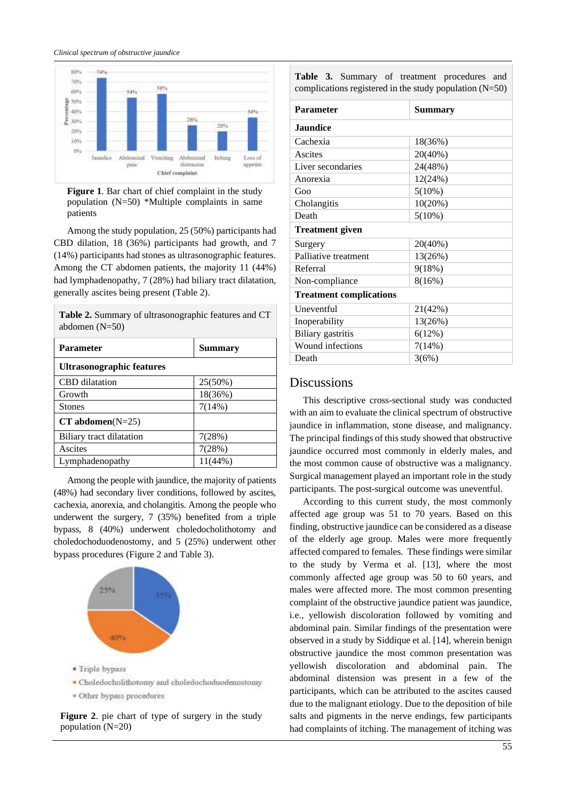*Clinical spectrum of obstructive jaundice*



**Figure 1**. Bar chart of chief complaint in the study population (N=50) \*Multiple complaints in same patients

Among the study population, 25 (50%) participants had CBD dilation, 18 (36%) participants had growth, and 7 (14%) participants had stones as ultrasonographic features. Among the CT abdomen patients, the majority 11 (44%) had lymphadenopathy, 7 (28%) had biliary tract dilatation, generally ascites being present (Table 2).

**Table 2.** Summary of ultrasonographic features and CT

| abdomen $(N=50)$                 |                |  |  |  |  |
|----------------------------------|----------------|--|--|--|--|
| <b>Parameter</b>                 | <b>Summary</b> |  |  |  |  |
| <b>Ultrasonographic features</b> |                |  |  |  |  |
| <b>CBD</b> dilatation            | 25(50%)        |  |  |  |  |
| Growth                           | 18(36%)        |  |  |  |  |
| <b>Stones</b>                    | 7(14%)         |  |  |  |  |
| $CT$ abdomen $(N=25)$            |                |  |  |  |  |
| Biliary tract dilatation         | 7(28%)         |  |  |  |  |
| Ascites                          | 7(28%)         |  |  |  |  |
| Lymphadenopathy                  | $11(44\%)$     |  |  |  |  |

Among the people with jaundice, the majority of patients (48%) had secondary liver conditions, followed by ascites, cachexia, anorexia, and cholangitis. Among the people who underwent the surgery, 7 (35%) benefited from a triple bypass, 8 (40%) underwent choledocholithotomy and choledochoduodenostomy, and 5 (25%) underwent other bypass procedures (Figure 2 and Table 3).



- Choledocholithotomy and choledochoduodenostomy
- = Other bypass procedures

**Figure 2**. pie chart of type of surgery in the study population (N=20)

|                                                           |  |  |  |  | Table 3. Summary of treatment procedures and |  |  |
|-----------------------------------------------------------|--|--|--|--|----------------------------------------------|--|--|
| complications registered in the study population $(N=50)$ |  |  |  |  |                                              |  |  |

| <b>Parameter</b>               | Summary   |  |  |  |
|--------------------------------|-----------|--|--|--|
| <b>Jaundice</b>                |           |  |  |  |
| Cachexia                       | 18(36%)   |  |  |  |
| Ascites                        | 20(40%)   |  |  |  |
| Liver secondaries              | 24(48%)   |  |  |  |
| Anorexia                       | 12(24%)   |  |  |  |
| G <sub>OO</sub>                | $5(10\%)$ |  |  |  |
| Cholangitis                    | 10(20%)   |  |  |  |
| Death                          | $5(10\%)$ |  |  |  |
| <b>Treatment given</b>         |           |  |  |  |
| Surgery                        | 20(40%)   |  |  |  |
| Palliative treatment           | 13(26%)   |  |  |  |
| Referral                       | 9(18%)    |  |  |  |
| Non-compliance                 | 8(16%)    |  |  |  |
| <b>Treatment complications</b> |           |  |  |  |
| <b>Uneventful</b>              | 21(42%)   |  |  |  |
| Inoperability                  | 13(26%)   |  |  |  |
| Biliary gastritis              | 6(12%)    |  |  |  |
| Wound infections               | 7(14%)    |  |  |  |
| Death                          | 3(6%)     |  |  |  |
|                                |           |  |  |  |

## **Discussions**

This descriptive cross-sectional study was conducted with an aim to evaluate the clinical spectrum of obstructive jaundice in inflammation, stone disease, and malignancy. The principal findings of this study showed that obstructive jaundice occurred most commonly in elderly males, and the most common cause of obstructive was a malignancy. Surgical management played an important role in the study participants. The post-surgical outcome was uneventful.

According to this current study, the most commonly affected age group was 51 to 70 years. Based on this finding, obstructive jaundice can be considered as a disease of the elderly age group. Males were more frequently affected compared to females. These findings were similar to the study by Verma et al. [13], where the most commonly affected age group was 50 to 60 years, and males were affected more. The most common presenting complaint of the obstructive jaundice patient was jaundice, i.e., yellowish discoloration followed by vomiting and abdominal pain. Similar findings of the presentation were observed in a study by Siddique et al. [14], wherein benign obstructive jaundice the most common presentation was yellowish discoloration and abdominal pain. The abdominal distension was present in a few of the participants, which can be attributed to the ascites caused due to the malignant etiology. Due to the deposition of bile salts and pigments in the nerve endings, few participants had complaints of itching. The management of itching was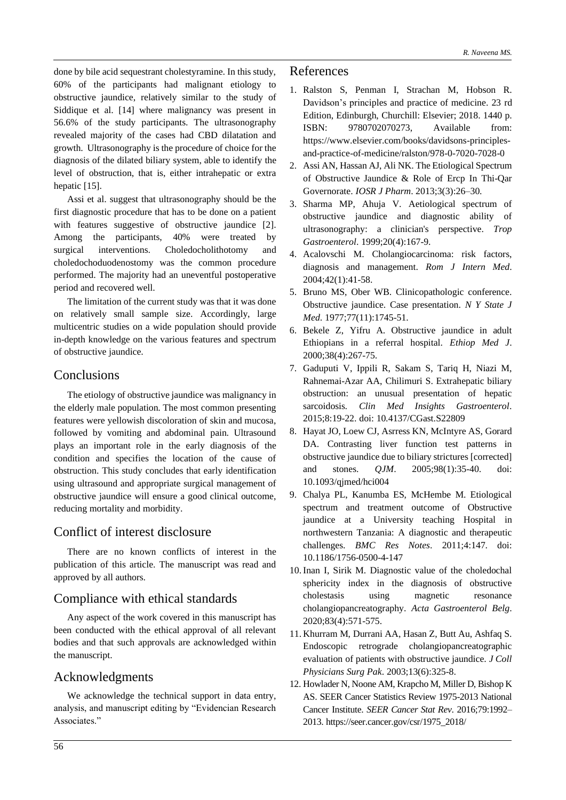done by bile acid sequestrant cholestyramine. In this study, 60% of the participants had malignant etiology to obstructive jaundice, relatively similar to the study of Siddique et al. [14] where malignancy was present in 56.6% of the study participants. The ultrasonography revealed majority of the cases had CBD dilatation and growth. Ultrasonography is the procedure of choice for the diagnosis of the dilated biliary system, able to identify the level of obstruction, that is, either intrahepatic or extra hepatic [15].

Assi et al. suggest that ultrasonography should be the first diagnostic procedure that has to be done on a patient with features suggestive of obstructive jaundice [2]. Among the participants, 40% were treated by surgical interventions. Choledocholithotomy and choledochoduodenostomy was the common procedure performed. The majority had an uneventful postoperative period and recovered well.

The limitation of the current study was that it was done on relatively small sample size. Accordingly, large multicentric studies on a wide population should provide in-depth knowledge on the various features and spectrum of obstructive jaundice.

# Conclusions

The etiology of obstructive jaundice was malignancy in the elderly male population. The most common presenting features were yellowish discoloration of skin and mucosa, followed by vomiting and abdominal pain. Ultrasound plays an important role in the early diagnosis of the condition and specifies the location of the cause of obstruction. This study concludes that early identification using ultrasound and appropriate surgical management of obstructive jaundice will ensure a good clinical outcome, reducing mortality and morbidity.

# Conflict of interest disclosure

There are no known conflicts of interest in the publication of this article. The manuscript was read and approved by all authors.

## Compliance with ethical standards

Any aspect of the work covered in this manuscript has been conducted with the ethical approval of all relevant bodies and that such approvals are acknowledged within the manuscript.

## Acknowledgments

We acknowledge the technical support in data entry, analysis, and manuscript editing by "Evidencian Research Associates."

## References

- 1. Ralston S, Penman I, Strachan M, Hobson R. Davidson's principles and practice of medicine. 23 rd Edition, Edinburgh, Churchill: Elsevier; 2018. 1440 p. ISBN: 9780702070273, Available from: https://www.elsevier.com/books/davidsons-principlesand-practice-of-medicine/ralston/978-0-7020-7028-0
- 2. Assi AN, Hassan AJ, Ali NK. The Etiological Spectrum of Obstructive Jaundice & Role of Ercp In Thi-Qar Governorate. *IOSR J Pharm*. 2013;3(3):26–30.
- 3. Sharma MP, Ahuja V. Aetiological spectrum of obstructive jaundice and diagnostic ability of ultrasonography: a clinician's perspective. *Trop Gastroenterol*. 1999;20(4):167-9.
- 4. Acalovschi M. Cholangiocarcinoma: risk factors, diagnosis and management. *Rom J Intern Med*. 2004;42(1):41-58.
- 5. Bruno MS, Ober WB. Clinicopathologic conference. Obstructive jaundice. Case presentation. *N Y State J Med*. 1977;77(11):1745-51.
- 6. Bekele Z, Yifru A. Obstructive jaundice in adult Ethiopians in a referral hospital. *Ethiop Med J*. 2000;38(4):267-75.
- 7. Gaduputi V, Ippili R, Sakam S, Tariq H, Niazi M, Rahnemai-Azar AA, Chilimuri S. Extrahepatic biliary obstruction: an unusual presentation of hepatic sarcoidosis*. Clin Med Insights Gastroenterol*. 2015;8:19-22. doi: 10.4137/CGast.S22809
- 8. Hayat JO, Loew CJ, Asrress KN, McIntyre AS, Gorard DA. Contrasting liver function test patterns in obstructive jaundice due to biliary strictures [corrected] and stones. *QJM*. 2005;98(1):35-40. doi: 10.1093/qjmed/hci004
- 9. Chalya PL, Kanumba ES, McHembe M. Etiological spectrum and treatment outcome of Obstructive jaundice at a University teaching Hospital in northwestern Tanzania: A diagnostic and therapeutic challenges. *BMC Res Notes*. 2011;4:147. doi: 10.1186/1756-0500-4-147
- 10. Inan I, Sirik M. Diagnostic value of the choledochal sphericity index in the diagnosis of obstructive cholestasis using magnetic resonance cholangiopancreatography. *Acta Gastroenterol Belg*. 2020;83(4):571-575.
- 11. Khurram M, Durrani AA, Hasan Z, Butt Au, Ashfaq S. Endoscopic retrograde cholangiopancreatographic evaluation of patients with obstructive jaundice. *J Coll Physicians Surg Pak*. 2003;13(6):325-8.
- 12. Howlader N, Noone AM, Krapcho M, Miller D, Bishop K AS. SEER Cancer Statistics Review 1975-2013 National Cancer Institute. *SEER Cancer Stat Rev*. 2016;79:1992– 2013. https://seer.cancer.gov/csr/1975\_2018/